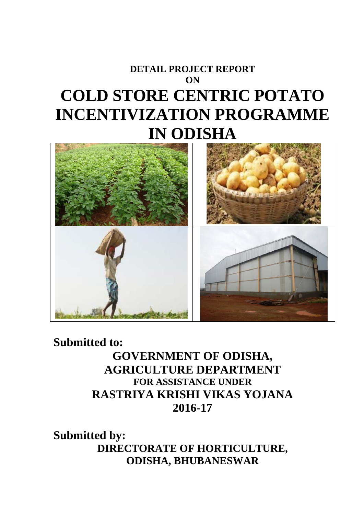# **DETAIL PROJECT REPORT ON COLD STORE CENTRIC POTATO INCENTIVIZATION PROGRAMME IN ODISHA**



**Submitted to: GOVERNMENT OF ODISHA, AGRICULTURE DEPARTMENT FOR ASSISTANCE UNDER RASTRIYA KRISHI VIKAS YOJANA 2016-17** 

**Submitted by: DIRECTORATE OF HORTICULTURE, ODISHA, BHUBANESWAR**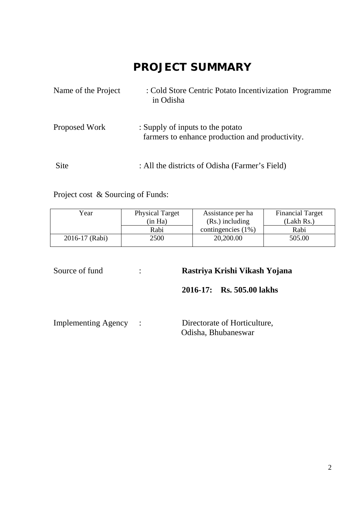## **PROJECT SUMMARY**

| Name of the Project | : Cold Store Centric Potato Incentivization Programme<br>in Odisha                  |
|---------------------|-------------------------------------------------------------------------------------|
| Proposed Work       | : Supply of inputs to the potato<br>farmers to enhance production and productivity. |
| Site                | : All the districts of Odisha (Farmer's Field)                                      |

Project cost & Sourcing of Funds:

| Year           | <b>Physical Target</b> | Assistance per ha     | <b>Financial Target</b> |  |
|----------------|------------------------|-----------------------|-------------------------|--|
|                | (in Ha)                | $(Rs.)$ including     | (Lakh Rs.)              |  |
|                | Rabi                   | contingencies $(1\%)$ | Rabi                    |  |
| 2016-17 (Rabi) | 2500                   | 20,200.00             | 505.00                  |  |

Source of fund : **Rastriya Krishi Vikash Yojana** 

**2016-17: Rs. 505.00 lakhs** 

| <b>Implementing Agency</b> |  | Directorate of Horticulture, |
|----------------------------|--|------------------------------|
|                            |  | Odisha, Bhubaneswar          |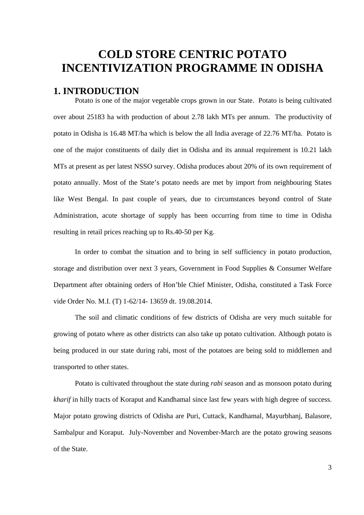## **COLD STORE CENTRIC POTATO INCENTIVIZATION PROGRAMME IN ODISHA**

## **1. INTRODUCTION**

Potato is one of the major vegetable crops grown in our State. Potato is being cultivated over about 25183 ha with production of about 2.78 lakh MTs per annum. The productivity of potato in Odisha is 16.48 MT/ha which is below the all India average of 22.76 MT/ha. Potato is one of the major constituents of daily diet in Odisha and its annual requirement is 10.21 lakh MTs at present as per latest NSSO survey. Odisha produces about 20% of its own requirement of potato annually. Most of the State's potato needs are met by import from neighbouring States like West Bengal. In past couple of years, due to circumstances beyond control of State Administration, acute shortage of supply has been occurring from time to time in Odisha resulting in retail prices reaching up to Rs.40-50 per Kg.

In order to combat the situation and to bring in self sufficiency in potato production, storage and distribution over next 3 years, Government in Food Supplies & Consumer Welfare Department after obtaining orders of Hon'ble Chief Minister, Odisha, constituted a Task Force vide Order No. M.I. (T) 1-62/14- 13659 dt. 19.08.2014.

The soil and climatic conditions of few districts of Odisha are very much suitable for growing of potato where as other districts can also take up potato cultivation. Although potato is being produced in our state during rabi, most of the potatoes are being sold to middlemen and transported to other states.

Potato is cultivated throughout the state during *rabi* season and as monsoon potato during *kharif* in hilly tracts of Koraput and Kandhamal since last few years with high degree of success. Major potato growing districts of Odisha are Puri, Cuttack, Kandhamal, Mayurbhanj, Balasore, Sambalpur and Koraput. July-November and November-March are the potato growing seasons of the State.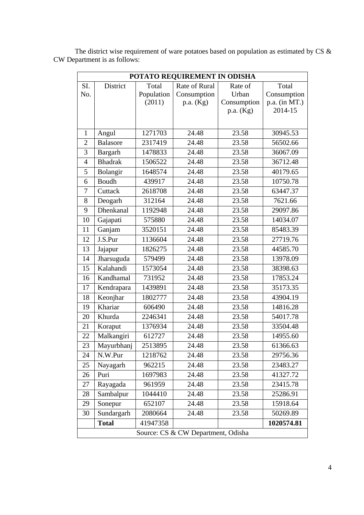|                | POTATO REQUIREMENT IN ODISHA       |            |               |                          |                          |  |
|----------------|------------------------------------|------------|---------------|--------------------------|--------------------------|--|
| SI.            | District                           | Total      | Rate of Rural | Rate of                  | Total                    |  |
| No.            |                                    | Population | Consumption   | Urban                    | Consumption              |  |
|                |                                    | (2011)     | p.a. (Kg)     | Consumption<br>p.a. (Kg) | p.a. (in MT.)<br>2014-15 |  |
|                |                                    |            |               |                          |                          |  |
|                |                                    |            |               |                          |                          |  |
| $\mathbf{1}$   | Angul                              | 1271703    | 24.48         | 23.58                    | 30945.53                 |  |
| $\overline{2}$ | <b>Balasore</b>                    | 2317419    | 24.48         | 23.58                    | 56502.66                 |  |
| 3              | Bargarh                            | 1478833    | 24.48         | 23.58                    | 36067.09                 |  |
| $\overline{4}$ | <b>Bhadrak</b>                     | 1506522    | 24.48         | 23.58                    | 36712.48                 |  |
| 5              | Bolangir                           | 1648574    | 24.48         | 23.58                    | 40179.65                 |  |
| 6              | Boudh                              | 439917     | 24.48         | 23.58                    | 10750.78                 |  |
| 7              | Cuttack                            | 2618708    | 24.48         | 23.58                    | 63447.37                 |  |
| 8              | Deogarh                            | 312164     | 24.48         | 23.58                    | 7621.66                  |  |
| 9              | Dhenkanal                          | 1192948    | 24.48         | 23.58                    | 29097.86                 |  |
| 10             | Gajapati                           | 575880     | 24.48         | 23.58                    | 14034.07                 |  |
| 11             | Ganjam                             | 3520151    | 24.48         | 23.58                    | 85483.39                 |  |
| 12             | J.S.Pur                            | 1136604    | 24.48         | 23.58                    | 27719.76                 |  |
| 13             | Jajapur                            | 1826275    | 24.48         | 23.58                    | 44585.70                 |  |
| 14             | Jharsuguda                         | 579499     | 24.48         | 23.58                    | 13978.09                 |  |
| 15             | Kalahandi                          | 1573054    | 24.48         | 23.58                    | 38398.63                 |  |
| 16             | Kandhamal                          | 731952     | 24.48         | 23.58                    | 17853.24                 |  |
| 17             | Kendrapara                         | 1439891    | 24.48         | 23.58                    | 35173.35                 |  |
| 18             | Keonjhar                           | 1802777    | 24.48         | 23.58                    | 43904.19                 |  |
| 19             | Khariar                            | 606490     | 24.48         | 23.58                    | 14816.28                 |  |
| 20             | Khurda                             | 2246341    | 24.48         | 23.58                    | 54017.78                 |  |
| 21             | Koraput                            | 1376934    | 24.48         | 23.58                    | 33504.48                 |  |
| 22             | Malkangiri                         | 612727     | 24.48         | 23.58                    | 14955.60                 |  |
| 23             | Mayurbhanj                         | 2513895    | 24.48         | 23.58                    | 61366.63                 |  |
| 24             | N.W.Pur                            | 1218762    | 24.48         | 23.58                    | 29756.36                 |  |
| 25             | Nayagarh                           | 962215     | 24.48         | 23.58                    | 23483.27                 |  |
| 26             | Puri                               | 1697983    | 24.48         | 23.58                    | 41327.72                 |  |
| 27             | Rayagada                           | 961959     | 24.48         | 23.58                    | 23415.78                 |  |
| 28             | Sambalpur                          | 1044410    | 24.48         | 23.58                    | 25286.91                 |  |
| 29             | Sonepur                            | 652107     | 24.48         | 23.58                    | 15918.64                 |  |
| 30             | Sundargarh                         | 2080664    | 24.48         | 23.58                    | 50269.89                 |  |
|                | <b>Total</b>                       | 41947358   |               |                          | 1020574.81               |  |
|                | Source: CS & CW Department, Odisha |            |               |                          |                          |  |

The district wise requirement of ware potatoes based on population as estimated by CS  $\&$ CW Department is as follows: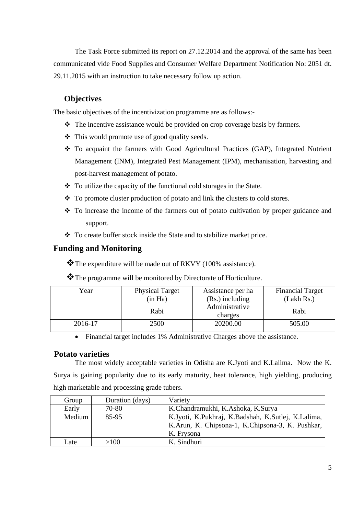The Task Force submitted its report on 27.12.2014 and the approval of the same has been communicated vide Food Supplies and Consumer Welfare Department Notification No: 2051 dt. 29.11.2015 with an instruction to take necessary follow up action.

## **Objectives**

The basic objectives of the incentivization programme are as follows:-

- The incentive assistance would be provided on crop coverage basis by farmers.
- This would promote use of good quality seeds.
- To acquaint the farmers with Good Agricultural Practices (GAP), Integrated Nutrient Management (INM), Integrated Pest Management (IPM), mechanisation, harvesting and post-harvest management of potato.
- $\bullet$  To utilize the capacity of the functional cold storages in the State.
- \* To promote cluster production of potato and link the clusters to cold stores.
- To increase the income of the farmers out of potato cultivation by proper guidance and support.
- \* To create buffer stock inside the State and to stabilize market price.

## **Funding and Monitoring**

\*The expenditure will be made out of RKVY (100% assistance).

\* The programme will be monitored by Directorate of Horticulture.

| Year    | <b>Physical Target</b> | Assistance per ha         | <b>Financial Target</b> |
|---------|------------------------|---------------------------|-------------------------|
|         | (in Ha)                | $(Rs.)$ including         | (Lakh Rs.)              |
|         | Rabi                   | Administrative<br>charges | Rabi                    |
| 2016-17 | 2500                   | 20200.00                  | 505.00                  |

• Financial target includes 1% Administrative Charges above the assistance.

## **Potato varieties**

 The most widely acceptable varieties in Odisha are K.Jyoti and K.Lalima. Now the K. Surya is gaining popularity due to its early maturity, heat tolerance, high yielding, producing high marketable and processing grade tubers.

| Group  | Duration (days) | Variety                                            |
|--------|-----------------|----------------------------------------------------|
| Early  | 70-80           | K.Chandramukhi, K.Ashoka, K.Surya                  |
| Medium | 85-95           | K.Jyoti, K.Pukhraj, K.Badshah, K.Sutlej, K.Lalima, |
|        |                 | K.Arun, K. Chipsona-1, K.Chipsona-3, K. Pushkar,   |
|        |                 | K. Frysona                                         |
| Late   | >100            | K. Sindhuri                                        |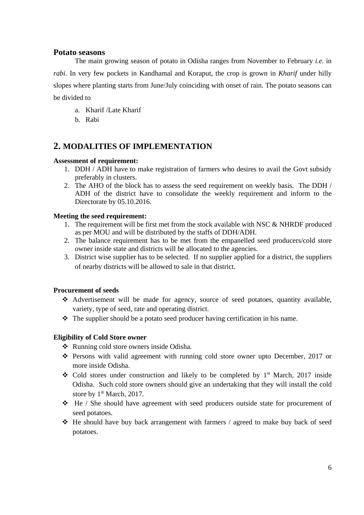#### **Potato seasons**

 The main growing season of potato in Odisha ranges from November to February *i.e.* in *rabi*. In very few pockets in Kandhamal and Koraput, the crop is grown in *Kharif* under hilly slopes where planting starts from June/July coinciding with onset of rain. The potato seasons can be divided to

- a. Kharif /Late Kharif
- b. Rabi

## **2. MODALITIES OF IMPLEMENTATION**

#### **Assessment of requirement:**

- 1. DDH / ADH have to make registration of farmers who desires to avail the Govt subsidy preferably in clusters.
- 2. The AHO of the block has to assess the seed requirement on weekly basis. The DDH / ADH of the district have to consolidate the weekly requirement and inform to the Directorate by 05.10.2016.

#### **Meeting the seed requirement:**

- 1. The requirement will be first met from the stock available with NSC & NHRDF produced as per MOU and will be distributed by the staffs of DDH/ADH.
- 2. The balance requirement has to be met from the empanelled seed producers/cold store owner inside state and districts will be allocated to the agencies.
- 3. District wise supplier has to be selected. If no supplier applied for a district, the suppliers of nearby districts will be allowed to sale in that district.

#### **Procurement of seeds**

- Advertisement will be made for agency, source of seed potatoes, quantity available, variety, type of seed, rate and operating district.
- $\triangle$  The supplier should be a potato seed producer having certification in his name.

#### **Eligibility of Cold Store owner**

- Running cold store owners inside Odisha.
- Persons with valid agreement with running cold store owner upto December, 2017 or more inside Odisha.
- $\div$  Cold stores under construction and likely to be completed by 1<sup>st</sup> March, 2017 inside Odisha. Such cold store owners should give an undertaking that they will install the cold store by  $1<sup>st</sup> March$ , 2017.
- $\div$  He / She should have agreement with seed producers outside state for procurement of seed potatoes.
- He should have buy back arrangement with farmers / agreed to make buy back of seed potatoes.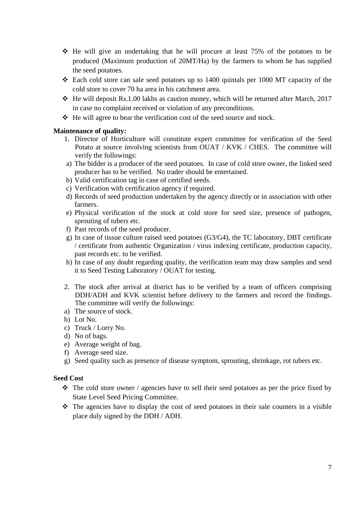- $\div$  He will give an undertaking that he will procure at least 75% of the potatoes to be produced (Maximum production of 20MT/Ha) by the farmers to whom he has supplied the seed potatoes.
- Each cold store can sale seed potatoes up to 1400 quintals per 1000 MT capacity of the cold store to cover 70 ha area in his catchment area.
- $\cdot$  He will deposit Rs.1.00 lakhs as caution money, which will be returned after March, 2017 in case no complaint received or violation of any preconditions.
- $\div$  He will agree to bear the verification cost of the seed source and stock.

## **Maintenance of quality:**

- 1. Director of Horticulture will constitute expert committee for verification of the Seed Potato at source involving scientists from OUAT / KVK / CHES. The committee will verify the followings:
- a) The bidder is a producer of the seed potatoes. In case of cold store owner, the linked seed producer has to be verified. No trader should be entertained.
- b) Valid certification tag in case of certified seeds.
- c) Verification with certification agency if required.
- d) Records of seed production undertaken by the agency directly or in association with other farmers.
- e) Physical verification of the stock at cold store for seed size, presence of pathogen, sprouting of tubers etc.
- f) Past records of the seed producer.
- g) In case of tissue culture raised seed potatoes (G3/G4), the TC laboratory, DBT certificate / certificate from authentic Organization / virus indexing certificate, production capacity, past records etc. to be verified.
- h) In case of any doubt regarding quality, the verification team may draw samples and send it to Seed Testing Laboratory / OUAT for testing.
- 2. The stock after arrival at district has to be verified by a team of officers comprising DDH/ADH and KVK scientist before delivery to the farmers and record the findings. The committee will verify the followings:
- a) The source of stock.
- b) Lot No.
- c) Truck / Lorry No.
- d) No of bags.
- e) Average weight of bag.
- f) Average seed size.
- g) Seed quality such as presence of disease symptom, sprouting, shrinkage, rot tubers etc.

## **Seed Cost**

- $\cdot \cdot$  The cold store owner / agencies have to sell their seed potatoes as per the price fixed by State Level Seed Pricing Committee.
- $\hat{\cdot}$  The agencies have to display the cost of seed potatoes in their sale counters in a visible place duly signed by the DDH / ADH.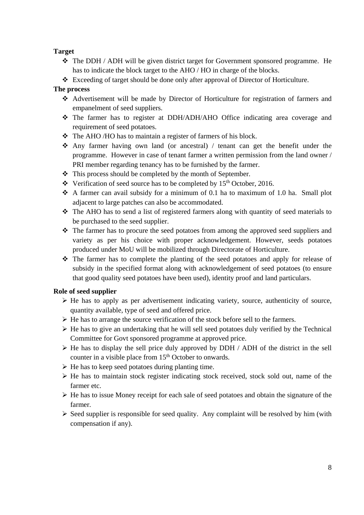#### **Target**

- The DDH / ADH will be given district target for Government sponsored programme. He has to indicate the block target to the AHO / HO in charge of the blocks.
- Exceeding of target should be done only after approval of Director of Horticulture.

#### **The process**

- Advertisement will be made by Director of Horticulture for registration of farmers and empanelment of seed suppliers.
- The farmer has to register at DDH/ADH/AHO Office indicating area coverage and requirement of seed potatoes.
- $\triangle$  The AHO/HO has to maintain a register of farmers of his block.
- Any farmer having own land (or ancestral) / tenant can get the benefit under the programme. However in case of tenant farmer a written permission from the land owner / PRI member regarding tenancy has to be furnished by the farmer.
- $\triangle$  This process should be completed by the month of September.
- $\cdot \cdot$  Verification of seed source has to be completed by 15<sup>th</sup> October, 2016.
- A farmer can avail subsidy for a minimum of 0.1 ha to maximum of 1.0 ha. Small plot adjacent to large patches can also be accommodated.
- The AHO has to send a list of registered farmers along with quantity of seed materials to be purchased to the seed supplier.
- The farmer has to procure the seed potatoes from among the approved seed suppliers and variety as per his choice with proper acknowledgement. However, seeds potatoes produced under MoU will be mobilized through Directorate of Horticulture.
- $\div$  The farmer has to complete the planting of the seed potatoes and apply for release of subsidy in the specified format along with acknowledgement of seed potatoes (to ensure that good quality seed potatoes have been used), identity proof and land particulars.

#### **Role of seed supplier**

- $\triangleright$  He has to apply as per advertisement indicating variety, source, authenticity of source, quantity available, type of seed and offered price.
- $\triangleright$  He has to arrange the source verification of the stock before sell to the farmers.
- $\triangleright$  He has to give an undertaking that he will sell seed potatoes duly verified by the Technical Committee for Govt sponsored programme at approved price.
- $\triangleright$  He has to display the sell price duly approved by DDH / ADH of the district in the sell counter in a visible place from  $15<sup>th</sup>$  October to onwards.
- $\triangleright$  He has to keep seed potatoes during planting time.
- $\triangleright$  He has to maintain stock register indicating stock received, stock sold out, name of the farmer etc.
- $\triangleright$  He has to issue Money receipt for each sale of seed potatoes and obtain the signature of the farmer.
- $\triangleright$  Seed supplier is responsible for seed quality. Any complaint will be resolved by him (with compensation if any).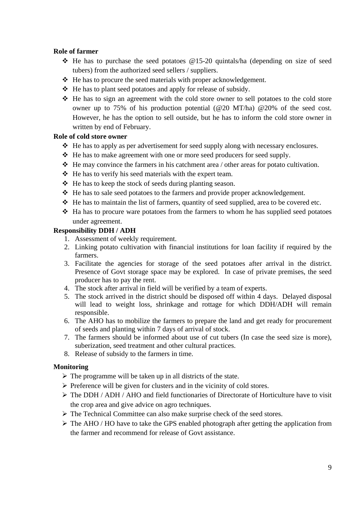#### **Role of farmer**

- $\div$  He has to purchase the seed potatoes @15-20 quintals/ha (depending on size of seed tubers) from the authorized seed sellers / suppliers.
- $\triangle$  He has to procure the seed materials with proper acknowledgement.
- $\triangle$  He has to plant seed potatoes and apply for release of subsidy.
- He has to sign an agreement with the cold store owner to sell potatoes to the cold store owner up to 75% of his production potential ( $@20$  MT/ha)  $@20\%$  of the seed cost. However, he has the option to sell outside, but he has to inform the cold store owner in written by end of February.

#### **Role of cold store owner**

- $\triangleleft$  He has to apply as per advertisement for seed supply along with necessary enclosures.
- He has to make agreement with one or more seed producers for seed supply.
- $\triangle$  He may convince the farmers in his catchment area / other areas for potato cultivation.
- $\triangle$  He has to verify his seed materials with the expert team.
- $\triangle$  He has to keep the stock of seeds during planting season.
- $\triangle$  He has to sale seed potatoes to the farmers and provide proper acknowledgement.
- He has to maintain the list of farmers, quantity of seed supplied, area to be covered etc.
- $\triangle$  Ha has to procure ware potatoes from the farmers to whom he has supplied seed potatoes under agreement.

#### **Responsibility DDH / ADH**

- 1. Assessment of weekly requirement.
- 2. Linking potato cultivation with financial institutions for loan facility if required by the farmers.
- 3. Facilitate the agencies for storage of the seed potatoes after arrival in the district. Presence of Govt storage space may be explored. In case of private premises, the seed producer has to pay the rent.
- 4. The stock after arrival in field will be verified by a team of experts.
- 5. The stock arrived in the district should be disposed off within 4 days. Delayed disposal will lead to weight loss, shrinkage and rottage for which DDH/ADH will remain responsible.
- 6. The AHO has to mobilize the farmers to prepare the land and get ready for procurement of seeds and planting within 7 days of arrival of stock.
- 7. The farmers should be informed about use of cut tubers (In case the seed size is more), suberization, seed treatment and other cultural practices.
- 8. Release of subsidy to the farmers in time.

#### **Monitoring**

- $\triangleright$  The programme will be taken up in all districts of the state.
- $\triangleright$  Preference will be given for clusters and in the vicinity of cold stores.
- $\triangleright$  The DDH / ADH / AHO and field functionaries of Directorate of Horticulture have to visit the crop area and give advice on agro techniques.
- ¾ The Technical Committee can also make surprise check of the seed stores.
- $\triangleright$  The AHO / HO have to take the GPS enabled photograph after getting the application from the farmer and recommend for release of Govt assistance.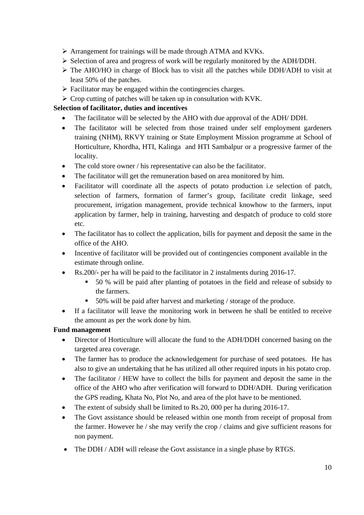- $\triangleright$  Arrangement for trainings will be made through ATMA and KVKs.
- ¾ Selection of area and progress of work will be regularly monitored by the ADH/DDH.
- $\triangleright$  The AHO/HO in charge of Block has to visit all the patches while DDH/ADH to visit at least 50% of the patches.
- $\triangleright$  Facilitator may be engaged within the contingencies charges.
- $\triangleright$  Crop cutting of patches will be taken up in consultation with KVK.

## **Selection of facilitator, duties and incentives**

- The facilitator will be selected by the AHO with due approval of the ADH/ DDH.
- The facilitator will be selected from those trained under self employment gardeners training (NHM), RKVY training or State Employment Mission programme at School of Horticulture, Khordha, HTI, Kalinga and HTI Sambalpur or a progressive farmer of the locality.
- The cold store owner / his representative can also be the facilitator.
- The facilitator will get the remuneration based on area monitored by him.
- Facilitator will coordinate all the aspects of potato production i.e selection of patch, selection of farmers, formation of farmer's group, facilitate credit linkage, seed procurement, irrigation management, provide technical knowhow to the farmers, input application by farmer, help in training, harvesting and despatch of produce to cold store etc.
- The facilitator has to collect the application, bills for payment and deposit the same in the office of the AHO.
- Incentive of facilitator will be provided out of contingencies component available in the estimate through online.
- Rs.200/- per ha will be paid to the facilitator in 2 instalments during 2016-17.
	- 50 % will be paid after planting of potatoes in the field and release of subsidy to the farmers.
	- 50% will be paid after harvest and marketing / storage of the produce.
- If a facilitator will leave the monitoring work in between he shall be entitled to receive the amount as per the work done by him.

## **Fund management**

- Director of Horticulture will allocate the fund to the ADH/DDH concerned basing on the targeted area coverage.
- The farmer has to produce the acknowledgement for purchase of seed potatoes. He has also to give an undertaking that he has utilized all other required inputs in his potato crop.
- The facilitator / HEW have to collect the bills for payment and deposit the same in the office of the AHO who after verification will forward to DDH/ADH. During verification the GPS reading, Khata No, Plot No, and area of the plot have to be mentioned.
- The extent of subsidy shall be limited to Rs.20, 000 per ha during 2016-17.
- The Govt assistance should be released within one month from receipt of proposal from the farmer. However he / she may verify the crop / claims and give sufficient reasons for non payment.
- The DDH / ADH will release the Govt assistance in a single phase by RTGS.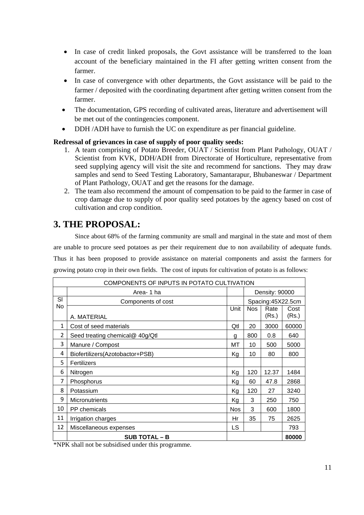- In case of credit linked proposals, the Govt assistance will be transferred to the loan account of the beneficiary maintained in the FI after getting written consent from the farmer.
- In case of convergence with other departments, the Govt assistance will be paid to the farmer / deposited with the coordinating department after getting written consent from the farmer.
- The documentation, GPS recording of cultivated areas, literature and advertisement will be met out of the contingencies component.
- DDH /ADH have to furnish the UC on expenditure as per financial guideline.

#### **Redressal of grievances in case of supply of poor quality seeds:**

- 1. A team comprising of Potato Breeder, OUAT / Scientist from Plant Pathology, OUAT / Scientist from KVK, DDH/ADH from Directorate of Horticulture, representative from seed supplying agency will visit the site and recommend for sanctions. They may draw samples and send to Seed Testing Laboratory, Samantarapur, Bhubaneswar / Department of Plant Pathology, OUAT and get the reasons for the damage.
- 2. The team also recommend the amount of compensation to be paid to the farmer in case of crop damage due to supply of poor quality seed potatoes by the agency based on cost of cultivation and crop condition.

## **3. THE PROPOSAL:**

Since about 68% of the farming community are small and marginal in the state and most of them are unable to procure seed potatoes as per their requirement due to non availability of adequate funds. Thus it has been proposed to provide assistance on material components and assist the farmers for growing potato crop in their own fields. The cost of inputs for cultivation of potato is as follows:

| COMPONENTS OF INPUTS IN POTATO CULTIVATION |                                 |            |            |                   |       |
|--------------------------------------------|---------------------------------|------------|------------|-------------------|-------|
| Density: 90000<br>Area- 1 ha               |                                 |            |            |                   |       |
| SI                                         | Components of cost              |            |            | Spacing:45X22.5cm |       |
| No                                         |                                 | Unit       | <b>Nos</b> | Rate              | Cost  |
|                                            | A. MATERIAL                     |            |            | (Rs.)             | (Rs.) |
| $\mathbf{1}$                               | Cost of seed materials          | Qtl        | 20         | 3000              | 60000 |
| $\overline{2}$                             | Seed treating chemical@ 40g/Qtl | a          | 800        | 0.8               | 640   |
| 3                                          | Manure / Compost                | MT         | 10         | 500               | 5000  |
| 4                                          | Biofertilizers(Azotobactor+PSB) | Kg         | 10         | 80                | 800   |
| 5                                          | Fertilizers                     |            |            |                   |       |
| 6                                          | Nitrogen                        | Kg         | 120        | 12.37             | 1484  |
| 7                                          | Phosphorus                      | Kg         | 60         | 47.8              | 2868  |
| 8                                          | Potassium                       | Kg         | 120        | 27                | 3240  |
| 9                                          | <b>Micronutrients</b>           | Kg         | 3          | 250               | 750   |
| 10                                         | <b>PP</b> chemicals             | <b>Nos</b> | 3          | 600               | 1800  |
| 11                                         | Irrigation charges              | Hr         | 35         | 75                | 2625  |
| 12                                         | Miscellaneous expenses          | LS         |            |                   | 793   |
|                                            | <b>SUB TOTAL - B</b>            |            |            |                   | 80000 |

\*NPK shall not be subsidised under this programme.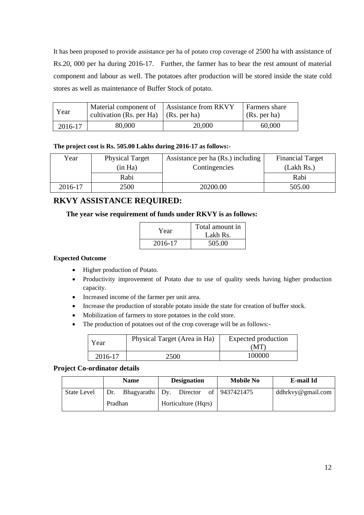It has been proposed to provide assistance per ha of potato crop coverage of 2500 ha with assistance of Rs.20, 000 per ha during 2016-17. Further, the farmer has to bear the rest amount of material component and labour as well. The potatoes after production will be stored inside the state cold stores as well as maintenance of Buffer Stock of potato.

| Year    | Material component of<br>cultivation (Rs. per Ha) $\vert$ (Rs. per ha) | Assistance from RKVY | <b>Farmers</b> share<br>(Rs. per ha) |
|---------|------------------------------------------------------------------------|----------------------|--------------------------------------|
| 2016-17 | 80,000                                                                 | 20,000               | 60,000                               |

#### **The project cost is Rs. 505.00 Lakhs during 2016-17 as follows:-**

| Year    | <b>Physical Target</b> | Assistance per ha (Rs.) including | <b>Financial Target</b> |
|---------|------------------------|-----------------------------------|-------------------------|
|         | (in Ha)                | Contingencies                     | (Lakh Rs.)              |
|         | Rabi                   |                                   | Rabi                    |
| 2016-17 | 2500                   | 20200.00                          | 505.00                  |

## **RKVY ASSISTANCE REQUIRED:**

#### **The year wise requirement of funds under RKVY is as follows:**

| Year    | Total amount in<br>Lakh Rs. |
|---------|-----------------------------|
| 2016-17 | 505.00                      |

#### **Expected Outcome**

- Higher production of Potato.
- Productivity improvement of Potato due to use of quality seeds having higher production capacity.
- Increased income of the farmer per unit area.
- Increase the production of storable potato inside the state for creation of buffer stock.
- Mobilization of farmers to store potatoes in the cold store.
- The production of potatoes out of the crop coverage will be as follows:-

| Year    | Physical Target (Area in Ha) | Expected production<br>(MT) |
|---------|------------------------------|-----------------------------|
| 2016-17 | 2500                         | 100000                      |

#### **Project Co-ordinator details**

|                    | <b>Name</b> | <b>Designation</b>       | <b>Mobile No</b> | E-mail Id         |
|--------------------|-------------|--------------------------|------------------|-------------------|
| <b>State Level</b> | Dr.         | Bhagyarathi Dy. Director | of 9437421475    | ddhrkvy@gmail.com |
|                    | Pradhan     | Horticulture (Hqrs)      |                  |                   |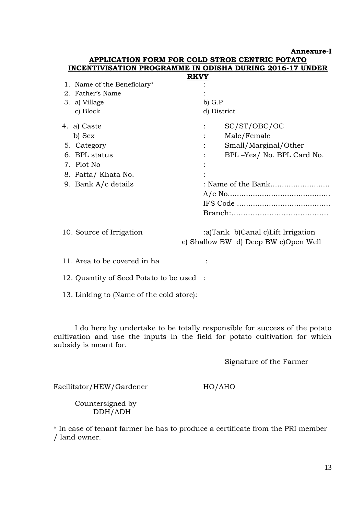**Annexure-I**

## **APPLICATION FORM FOR COLD STROE CENTRIC POTATO INCENTIVISATION PROGRAMME IN ODISHA DURING 2016-17 UNDER**

|                             | <b>RKVY</b> |                                      |
|-----------------------------|-------------|--------------------------------------|
| 1. Name of the Beneficiary* |             |                                      |
| 2. Father's Name            |             |                                      |
| 3. a) Village               | $b)$ $G.P$  |                                      |
| c) Block                    |             | d) District                          |
| 4. a) Caste                 |             | SC/ST/OBC/OC                         |
| b) Sex                      |             | Male/Female                          |
| 5. Category                 |             | Small/Marginal/Other                 |
| 6. BPL status               |             | BPL-Yes/ No. BPL Card No.            |
| 7. Plot No.                 |             |                                      |
| 8. Patta/Khata No.          |             |                                      |
| 9. Bank A/c details         |             | : Name of the Bank                   |
|                             |             |                                      |
|                             |             |                                      |
|                             |             |                                      |
| 10. Source of Irrigation    |             | :a)Tank b)Canal c)Lift Irrigation    |
|                             |             | e) Shallow BW d) Deep BW e)Open Well |

11. Area to be covered in ha

12. Quantity of Seed Potato to be used :

13. Linking to (Name of the cold store):

 I do here by undertake to be totally responsible for success of the potato cultivation and use the inputs in the field for potato cultivation for which subsidy is meant for.

Signature of the Farmer

Facilitator/HEW/Gardener HO/AHO

 Countersigned by DDH/ADH

\* In case of tenant farmer he has to produce a certificate from the PRI member / land owner.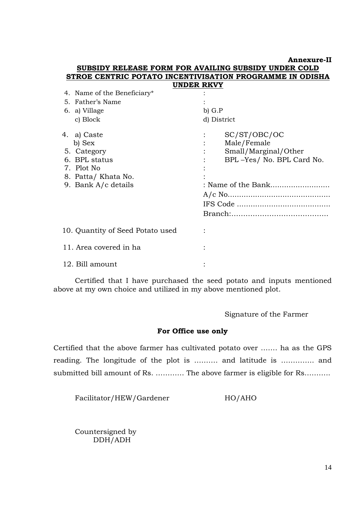**Annexure-II**

#### **SUBSIDY RELEASE FORM FOR AVAILING SUBSIDY UNDER COLD STROE CENTRIC POTATO INCENTIVISATION PROGRAMME IN ODISHA UNDER RKVY**

| 4. Name of the Beneficiary*                                                                                      |                                                                                                                          |
|------------------------------------------------------------------------------------------------------------------|--------------------------------------------------------------------------------------------------------------------------|
| 5. Father's Name                                                                                                 |                                                                                                                          |
| 6. a) Village                                                                                                    | $b)$ $G.P$                                                                                                               |
| c) Block                                                                                                         | d) District                                                                                                              |
| 4. a) Caste<br>b) Sex<br>5. Category<br>6. BPL status<br>7. Plot No<br>8. Patta/Khata No.<br>9. Bank A/c details | SC/ST/OBC/OC<br>Male/Female<br>$\ddot{\cdot}$<br>Small/Marginal/Other<br>BPL-Yes/ No. BPL Card No.<br>: Name of the Bank |
| 10. Quantity of Seed Potato used                                                                                 |                                                                                                                          |
| 11. Area covered in ha                                                                                           |                                                                                                                          |
| 12. Bill amount                                                                                                  |                                                                                                                          |
|                                                                                                                  |                                                                                                                          |

 Certified that I have purchased the seed potato and inputs mentioned above at my own choice and utilized in my above mentioned plot.

Signature of the Farmer

#### **For Office use only**

Certified that the above farmer has cultivated potato over ……. ha as the GPS reading. The longitude of the plot is ………. and latitude is ………….. and submitted bill amount of Rs. ………… The above farmer is eligible for Rs……….

Facilitator/HEW/Gardener HO/AHO

 Countersigned by DDH/ADH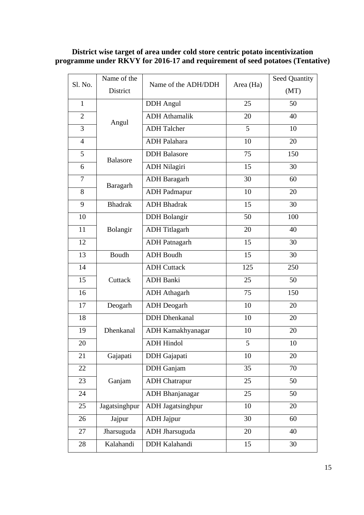## **District wise target of area under cold store centric potato incentivization programme under RKVY for 2016-17 and requirement of seed potatoes (Tentative)**

| Sl. No.        | Name of the     | Name of the ADH/DDH      | Area (Ha) | <b>Seed Quantity</b> |
|----------------|-----------------|--------------------------|-----------|----------------------|
|                | District        |                          |           | (MT)                 |
| $\mathbf{1}$   |                 | <b>DDH</b> Angul         | 25        | 50                   |
| 2              | Angul           | <b>ADH</b> Athamalik     | 20        | 40                   |
| 3              |                 | <b>ADH Talcher</b>       | 5         | 10                   |
| $\overline{4}$ |                 | <b>ADH</b> Palahara      | 10        | 20                   |
| 5              | <b>Balasore</b> | <b>DDH</b> Balasore      | 75        | 150                  |
| 6              |                 | <b>ADH Nilagiri</b>      | 15        | 30                   |
| 7              | Baragarh        | <b>ADH</b> Baragarh      | 30        | 60                   |
| 8              |                 | <b>ADH</b> Padmapur      | 10        | 20                   |
| 9              | <b>Bhadrak</b>  | <b>ADH</b> Bhadrak       | 15        | 30                   |
| 10             |                 | <b>DDH</b> Bolangir      | 50        | 100                  |
| 11             | Bolangir        | <b>ADH</b> Titlagarh     | 20        | 40                   |
| 12             |                 | <b>ADH</b> Patnagarh     | 15        | 30                   |
| 13             | Boudh           | <b>ADH</b> Boudh         | 15        | 30                   |
| 14             | Cuttack         | <b>ADH Cuttack</b>       | 125       | 250                  |
| 15             |                 | <b>ADH</b> Banki         | 25        | 50                   |
| 16             |                 | <b>ADH</b> Athagarh      | 75        | 150                  |
| 17             | Deogarh         | <b>ADH</b> Deogarh       | 10        | 20                   |
| 18             |                 | <b>DDH</b> Dhenkanal     | 10        | 20                   |
| 19             | Dhenkanal       | ADH Kamakhyanagar        | 10        | 20                   |
| 20             |                 | <b>ADH Hindol</b>        | 5         | 10                   |
| 21             | Gajapati        | DDH Gajapati             | 10        | 20                   |
| 22             |                 | <b>DDH</b> Ganjam        | 35        | 70                   |
| 23             | Ganjam          | <b>ADH</b> Chatrapur     | 25        | 50                   |
| 24             |                 | <b>ADH</b> Bhanjanagar   | 25        | 50                   |
| 25             | Jagatsinghpur   | <b>ADH</b> Jagatsinghpur | 10        | 20                   |
| 26             | Jajpur          | <b>ADH</b> Jajpur        | 30        | 60                   |
| 27             | Jharsuguda      | ADH Jharsuguda           | 20        | 40                   |
| 28             | Kalahandi       | DDH Kalahandi            | 15        | 30                   |